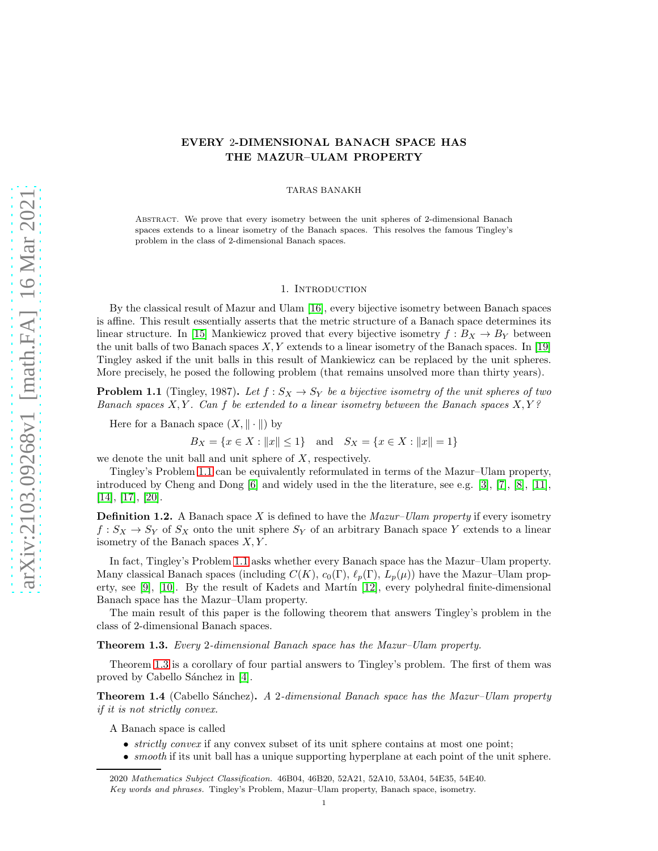# EVERY 2-DIMENSIONAL BANACH SPACE HAS THE MAZUR–ULAM PROPERTY

TARAS BANAKH

Abstract. We prove that every isometry between the unit spheres of 2-dimensional Banach spaces extends to a linear isometry of the Banach spaces. This resolves the famous Tingley's problem in the class of 2-dimensional Banach spaces.

## 1. INTRODUCTION

By the classical result of Mazur and Ulam [\[16\]](#page-7-0), every bijective isometry between Banach spaces is affine. This result essentially asserts that the metric structure of a Banach space determines its linear structure. In [\[15\]](#page-7-1) Mankiewicz proved that every bijective isometry  $f : B_X \to B_Y$  between the unit balls of two Banach spaces  $X, Y$  extends to a linear isometry of the Banach spaces. In [\[19\]](#page-7-2) Tingley asked if the unit balls in this result of Mankiewicz can be replaced by the unit spheres. More precisely, he posed the following problem (that remains unsolved more than thirty years).

<span id="page-0-0"></span>**Problem 1.1** (Tingley, 1987). Let  $f : S_X \to S_Y$  be a bijective isometry of the unit spheres of two Banach spaces  $X, Y$ . Can f be extended to a linear isometry between the Banach spaces  $X, Y$ ?

Here for a Banach space  $(X, \|\cdot\|)$  by

 $B_X = \{x \in X : ||x|| \le 1\}$  and  $S_X = \{x \in X : ||x|| = 1\}$ 

we denote the unit ball and unit sphere of  $X$ , respectively.

Tingley's Problem [1.1](#page-0-0) can be equivalently reformulated in terms of the Mazur–Ulam property, introduced by Cheng and Dong [\[6\]](#page-7-3) and widely used in the the literature, see e.g. [\[3\]](#page-7-4), [\[7\]](#page-7-5), [\[8\]](#page-7-6), [\[11\]](#page-7-7), [\[14\]](#page-7-8), [\[17\]](#page-7-9), [\[20\]](#page-7-10).

**Definition 1.2.** A Banach space X is defined to have the *Mazur–Ulam property* if every isometry  $f: S_X \to S_Y$  of  $S_X$  onto the unit sphere  $S_Y$  of an arbitrary Banach space Y extends to a linear isometry of the Banach spaces  $X, Y$ .

In fact, Tingley's Problem [1.1](#page-0-0) asks whether every Banach space has the Mazur–Ulam property. Many classical Banach spaces (including  $C(K)$ ,  $c_0(\Gamma)$ ,  $\ell_p(\Gamma)$ ,  $L_p(\mu)$ ) have the Mazur–Ulam property, see  $[9]$ ,  $[10]$ . By the result of Kadets and Martin  $[12]$ , every polyhedral finite-dimensional Banach space has the Mazur–Ulam property.

The main result of this paper is the following theorem that answers Tingley's problem in the class of 2-dimensional Banach spaces.

<span id="page-0-1"></span>Theorem 1.3. Every 2-dimensional Banach space has the Mazur–Ulam property.

Theorem [1.3](#page-0-1) is a corollary of four partial answers to Tingley's problem. The first of them was proved by Cabello Sánchez in [\[4\]](#page-7-14).

<span id="page-0-2"></span>**Theorem 1.4** (Cabello Sánchez). A 2-dimensional Banach space has the Mazur–Ulam property if it is not strictly convex.

A Banach space is called

- *strictly convex* if any convex subset of its unit sphere contains at most one point;
- *smooth* if its unit ball has a unique supporting hyperplane at each point of the unit sphere.

<sup>2020</sup> *Mathematics Subject Classification.* 46B04, 46B20, 52A21, 52A10, 53A04, 54E35, 54E40. *Key words and phrases.* Tingley's Problem, Mazur–Ulam property, Banach space, isometry.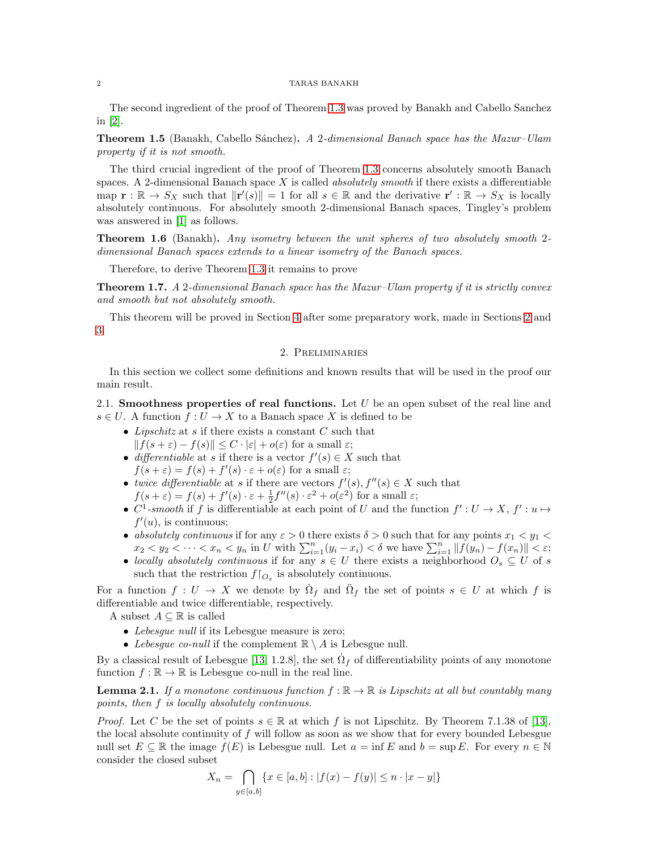## 2 TARAS BANAKH

The second ingredient of the proof of Theorem [1.3](#page-0-1) was proved by Banakh and Cabello Sanchez in [\[2\]](#page-7-15).

<span id="page-1-2"></span>**Theorem 1.5** (Banakh, Cabello Sánchez). A 2-dimensional Banach space has the Mazur–Ulam property if it is not smooth.

The third crucial ingredient of the proof of Theorem [1.3](#page-0-1) concerns absolutely smooth Banach spaces. A 2-dimensional Banach space  $X$  is called *absolutely smooth* if there exists a differentiable map  $\mathbf{r} : \mathbb{R} \to S_X$  such that  $\|\mathbf{r}'(s)\| = 1$  for all  $s \in \mathbb{R}$  and the derivative  $\mathbf{r}' : \mathbb{R} \to S_X$  is locally absolutely continuous. For absolutely smooth 2-dimensional Banach spaces, Tingley's problem was answered in [\[1\]](#page-7-16) as follows.

Theorem 1.6 (Banakh). Any isometry between the unit spheres of two absolutely smooth 2dimensional Banach spaces extends to a linear isometry of the Banach spaces.

Therefore, to derive Theorem [1.3](#page-0-1) it remains to prove

<span id="page-1-1"></span>**Theorem 1.7.** A 2-dimensional Banach space has the Mazur–Ulam property if it is strictly convex and smooth but not absolutely smooth.

<span id="page-1-0"></span>This theorem will be proved in Section [4](#page-7-17) after some preparatory work, made in Sections [2](#page-1-0) and [3.](#page-3-0)

# 2. Preliminaries

In this section we collect some definitions and known results that will be used in the proof our main result.

2.1. Smoothness properties of real functions. Let  $U$  be an open subset of the real line and  $s \in U$ . A function  $f: U \to X$  to a Banach space X is defined to be

- Lipschitz at  $s$  if there exists a constant  $C$  such that  $|| f(s+\varepsilon) - f(s)|| \leq C \cdot |\varepsilon| + o(\varepsilon)$  for a small  $\varepsilon$ ;
- differentiable at s if there is a vector  $f'(s) \in X$  such that  $f(s+\varepsilon) = f(s) + f'(s) \cdot \varepsilon + o(\varepsilon)$  for a small  $\varepsilon$ ;
- twice differentiable at s if there are vectors  $f'(s)$ ,  $f''(s) \in X$  such that  $f(s+\varepsilon) = f(s) + f'(s) \cdot \varepsilon + \frac{1}{2}f''(s) \cdot \varepsilon^2 + o(\varepsilon^2)$  for a small  $\varepsilon$ ;
- $C^1$ -smooth if f is differentiable at each point of U and the function  $f': U \to X, f': u \mapsto$  $f'(u)$ , is continuous;
- absolutely continuous if for any  $\varepsilon > 0$  there exists  $\delta > 0$  such that for any points  $x_1 < y_1 <$  $x_2 < y_2 < \cdots < x_n < y_n$  in U with  $\sum_{i=1}^n (y_i - x_i) < \delta$  we have  $\sum_{i=1}^n ||f(y_n) - f(x_n)|| < \varepsilon$ ;
- locally absolutely continuous if for any  $s \in U$  there exists a neighborhood  $O_s \subseteq U$  of s such that the restriction  $f\upharpoonright_{O_x}$  is absolutely continuous.

For a function  $f: U \to X$  we denote by  $\dot{\Omega}_f$  and  $\ddot{\Omega}_f$  the set of points  $s \in U$  at which f is differentiable and twice differentiable, respectively.

A subset  $A \subseteq \mathbb{R}$  is called

- Lebesgue null if its Lebesgue measure is zero;
- Lebesgue co-null if the complement  $\mathbb{R} \setminus A$  is Lebesgue null.

By a classical result of Lebesgue [\[13,](#page-7-18) 1.2.8], the set  $\dot{\Omega}_f$  of differentiability points of any monotone function  $f : \mathbb{R} \to \mathbb{R}$  is Lebesgue co-null in the real line.

<span id="page-1-3"></span>**Lemma 2.1.** If a monotone continuous function  $f : \mathbb{R} \to \mathbb{R}$  is Lipschitz at all but countably many points, then f is locally absolutely continuous.

*Proof.* Let C be the set of points  $s \in \mathbb{R}$  at which f is not Lipschitz. By Theorem 7.1.38 of [\[13\]](#page-7-18), the local absolute continuity of f will follow as soon as we show that for every bounded Lebesgue null set  $E \subseteq \mathbb{R}$  the image  $f(E)$  is Lebesgue null. Let  $a = \inf E$  and  $b = \sup E$ . For every  $n \in \mathbb{N}$ consider the closed subset

$$
X_n = \bigcap_{y \in [a,b]} \{ x \in [a,b] : |f(x) - f(y)| \le n \cdot |x - y| \}
$$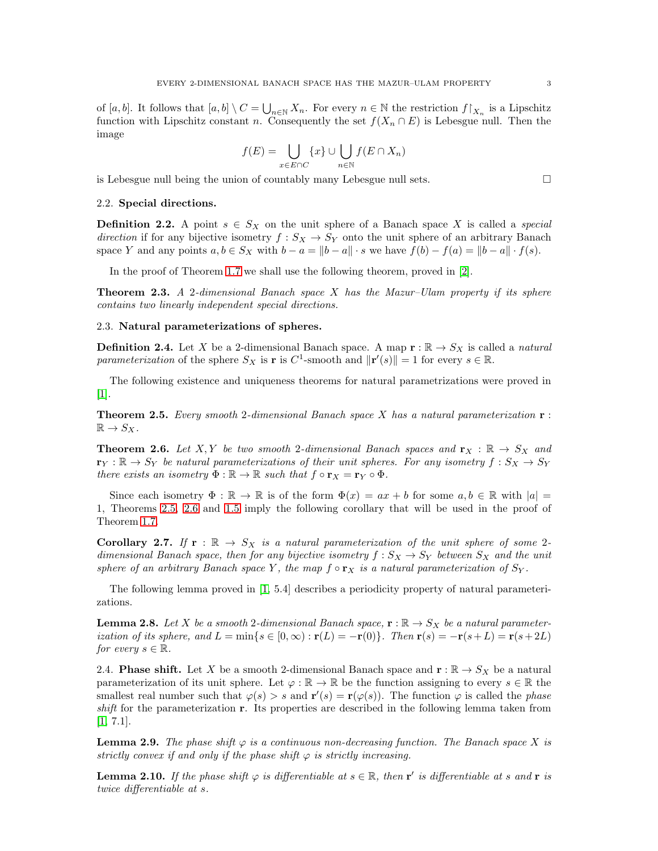of  $[a, b]$ . It follows that  $[a, b] \setminus C = \bigcup_{n \in \mathbb{N}} X_n$ . For every  $n \in \mathbb{N}$  the restriction  $f\upharpoonright_{X_n}$  is a Lipschitz function with Lipschitz constant n. Consequently the set  $f(X_n \cap E)$  is Lebesgue null. Then the image

$$
f(E) = \bigcup_{x \in E \cap C} \{x\} \cup \bigcup_{n \in \mathbb{N}} f(E \cap X_n)
$$

is Lebesgue null being the union of countably many Lebesgue null sets.  $\Box$ 

#### 2.2. Special directions.

**Definition 2.2.** A point  $s \in S_X$  on the unit sphere of a Banach space X is called a *special* direction if for any bijective isometry  $f : S_X \to S_Y$  onto the unit sphere of an arbitrary Banach space Y and any points  $a, b \in S_X$  with  $b - a = ||b - a|| \cdot s$  we have  $f(b) - f(a) = ||b - a|| \cdot f(s)$ .

In the proof of Theorem [1.7](#page-1-1) we shall use the following theorem, proved in [\[2\]](#page-7-15).

<span id="page-2-6"></span>**Theorem 2.3.** A 2-dimensional Banach space  $X$  has the Mazur–Ulam property if its sphere contains two linearly independent special directions.

# 2.3. Natural parameterizations of spheres.

**Definition 2.4.** Let X be a 2-dimensional Banach space. A map  $\mathbf{r} : \mathbb{R} \to S_X$  is called a *natural* parameterization of the sphere  $S_X$  is **r** is  $C^1$ -smooth and  $||\mathbf{r}'(s)|| = 1$  for every  $s \in \mathbb{R}$ .

The following existence and uniqueness theorems for natural parametrizations were proved in [\[1\]](#page-7-16).

<span id="page-2-0"></span>**Theorem 2.5.** Every smooth 2-dimensional Banach space X has a natural parameterization  $\mathbf{r}$ :  $\mathbb{R} \to S_X$ .

<span id="page-2-1"></span>**Theorem 2.6.** Let X, Y be two smooth 2-dimensional Banach spaces and  $\mathbf{r}_X : \mathbb{R} \to S_X$  and  $\mathbf{r}_Y : \mathbb{R} \to S_Y$  be natural parameterizations of their unit spheres. For any isometry  $f : S_X \to S_Y$ there exists an isometry  $\Phi : \mathbb{R} \to \mathbb{R}$  such that  $f \circ \mathbf{r}_X = \mathbf{r}_Y \circ \Phi$ .

Since each isometry  $\Phi : \mathbb{R} \to \mathbb{R}$  is of the form  $\Phi(x) = ax + b$  for some  $a, b \in \mathbb{R}$  with  $|a| =$ 1, Theorems [2.5,](#page-2-0) [2.6](#page-2-1) and [1.5](#page-1-2) imply the following corollary that will be used in the proof of Theorem [1.7.](#page-1-1)

<span id="page-2-5"></span>Corollary 2.7. If  $r : \mathbb{R} \to S_X$  is a natural parameterization of the unit sphere of some 2dimensional Banach space, then for any bijective isometry  $f : S_X \to S_Y$  between  $S_X$  and the unit sphere of an arbitrary Banach space Y, the map  $f \circ r_X$  is a natural parameterization of  $S_Y$ .

The following lemma proved in [\[1,](#page-7-16) 5.4] describes a periodicity property of natural parameterizations.

<span id="page-2-4"></span>**Lemma 2.8.** Let X be a smooth 2-dimensional Banach space,  $\mathbf{r} : \mathbb{R} \to S_X$  be a natural parameterization of its sphere, and  $L = \min\{s \in [0,\infty) : \mathbf{r}(L) = -\mathbf{r}(0)\}\$ . Then  $\mathbf{r}(s) = -\mathbf{r}(s+L) = \mathbf{r}(s+2L)$ for every  $s \in \mathbb{R}$ .

2.4. **Phase shift.** Let X be a smooth 2-dimensional Banach space and  $\mathbf{r} : \mathbb{R} \to S_X$  be a natural parameterization of its unit sphere. Let  $\varphi : \mathbb{R} \to \mathbb{R}$  be the function assigning to every  $s \in \mathbb{R}$  the smallest real number such that  $\varphi(s) > s$  and  $\mathbf{r}'(s) = \mathbf{r}(\varphi(s))$ . The function  $\varphi$  is called the *phase* shift for the parameterization r. Its properties are described in the following lemma taken from [\[1,](#page-7-16) 7.1].

<span id="page-2-2"></span>**Lemma 2.9.** The phase shift  $\varphi$  is a continuous non-decreasing function. The Banach space X is strictly convex if and only if the phase shift  $\varphi$  is strictly increasing.

<span id="page-2-3"></span>**Lemma 2.10.** If the phase shift  $\varphi$  is differentiable at  $s \in \mathbb{R}$ , then **r**' is differentiable at s and **r** is twice differentiable at s.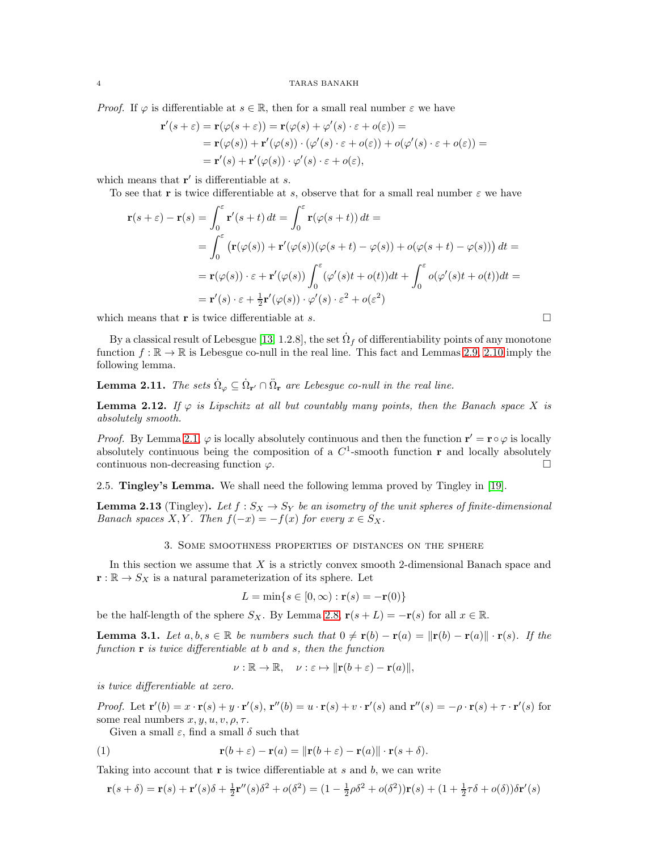*Proof.* If  $\varphi$  is differentiable at  $s \in \mathbb{R}$ , then for a small real number  $\varepsilon$  we have

$$
\mathbf{r}'(s+\varepsilon) = \mathbf{r}(\varphi(s+\varepsilon)) = \mathbf{r}(\varphi(s) + \varphi'(s) \cdot \varepsilon + o(\varepsilon)) =
$$
  
=  $\mathbf{r}(\varphi(s)) + \mathbf{r}'(\varphi(s)) \cdot (\varphi'(s) \cdot \varepsilon + o(\varepsilon)) + o(\varphi'(s) \cdot \varepsilon + o(\varepsilon)) =$   
=  $\mathbf{r}'(s) + \mathbf{r}'(\varphi(s)) \cdot \varphi'(s) \cdot \varepsilon + o(\varepsilon),$ 

which means that  $\mathbf{r}'$  is differentiable at  $s$ .

To see that r is twice differentiable at s, observe that for a small real number  $\varepsilon$  we have

$$
\mathbf{r}(s+\varepsilon) - \mathbf{r}(s) = \int_0^{\varepsilon} \mathbf{r}'(s+t) dt = \int_0^{\varepsilon} \mathbf{r}(\varphi(s+t)) dt =
$$
  
\n
$$
= \int_0^{\varepsilon} (\mathbf{r}(\varphi(s)) + \mathbf{r}'(\varphi(s))(\varphi(s+t) - \varphi(s)) + o(\varphi(s+t) - \varphi(s))) dt =
$$
  
\n
$$
= \mathbf{r}(\varphi(s)) \cdot \varepsilon + \mathbf{r}'(\varphi(s)) \int_0^{\varepsilon} (\varphi'(s)t + o(t)) dt + \int_0^{\varepsilon} o(\varphi'(s)t + o(t)) dt =
$$
  
\n
$$
= \mathbf{r}'(s) \cdot \varepsilon + \frac{1}{2} \mathbf{r}'(\varphi(s)) \cdot \varphi'(s) \cdot \varepsilon^2 + o(\varepsilon^2)
$$

which means that **r** is twice differentiable at *s*.

By a classical result of Lebesgue [\[13,](#page-7-18) 1.2.8], the set  $\dot{\Omega}_f$  of differentiability points of any monotone function  $f : \mathbb{R} \to \mathbb{R}$  is Lebesgue co-null in the real line. This fact and Lemmas [2.9,](#page-2-2) [2.10](#page-2-3) imply the following lemma.

<span id="page-3-3"></span>**Lemma 2.11.** The sets  $\dot{\Omega}_{\varphi} \subseteq \dot{\Omega}_{\mathbf{r}'} \cap \ddot{\Omega}_{\mathbf{r}}$  are Lebesgue co-null in the real line.

<span id="page-3-5"></span>**Lemma 2.12.** If  $\varphi$  is Lipschitz at all but countably many points, then the Banach space X is absolutely smooth.

*Proof.* By Lemma [2.1,](#page-1-3)  $\varphi$  is locally absolutely continuous and then the function  $\mathbf{r}' = \mathbf{r} \circ \varphi$  is locally absolutely continuous being the composition of a  $C^1$ -smooth function  $\bf{r}$  and locally absolutely continuous non-decreasing function  $\varphi$ .

2.5. Tingley's Lemma. We shall need the following lemma proved by Tingley in [\[19\]](#page-7-2).

<span id="page-3-2"></span><span id="page-3-0"></span>**Lemma 2.13** (Tingley). Let  $f : S_X \to S_Y$  be an isometry of the unit spheres of finite-dimensional Banach spaces X, Y. Then  $f(-x) = -f(x)$  for every  $x \in S_X$ .

## 3. Some smoothness properties of distances on the sphere

In this section we assume that X is a strictly convex smooth 2-dimensional Banach space and  $\mathbf{r} : \mathbb{R} \to S_X$  is a natural parameterization of its sphere. Let

$$
L = \min\{s \in [0, \infty) : \mathbf{r}(s) = -\mathbf{r}(0)\}
$$

be the half-length of the sphere  $S_X$ . By Lemma [2.8,](#page-2-4)  $\mathbf{r}(s+L) = -\mathbf{r}(s)$  for all  $x \in \mathbb{R}$ .

<span id="page-3-4"></span>**Lemma 3.1.** Let  $a, b, s \in \mathbb{R}$  be numbers such that  $0 \neq r(b) - r(a) = ||r(b) - r(a)|| \cdot r(s)$ . If the function  $\mathbf r$  is twice differentiable at b and s, then the function

<span id="page-3-1"></span>
$$
\nu : \mathbb{R} \to \mathbb{R}, \quad \nu : \varepsilon \mapsto \|\mathbf{r}(b+\varepsilon) - \mathbf{r}(a)\|,
$$

is twice differentiable at zero.

Proof. Let  $\mathbf{r}'(b) = x \cdot \mathbf{r}(s) + y \cdot \mathbf{r}'(s)$ ,  $\mathbf{r}''(b) = u \cdot \mathbf{r}(s) + v \cdot \mathbf{r}'(s)$  and  $\mathbf{r}''(s) = -\rho \cdot \mathbf{r}(s) + \tau \cdot \mathbf{r}'(s)$  for some real numbers  $x, y, u, v, \rho, \tau$ .

Given a small  $\varepsilon$ , find a small  $\delta$  such that

(1) 
$$
\mathbf{r}(b+\varepsilon)-\mathbf{r}(a)=\|\mathbf{r}(b+\varepsilon)-\mathbf{r}(a)\|\cdot\mathbf{r}(s+\delta).
$$

Taking into account that  $\bf{r}$  is twice differentiable at s and b, we can write

$$
\mathbf{r}(s+\delta) = \mathbf{r}(s) + \mathbf{r}'(s)\delta + \frac{1}{2}\mathbf{r}''(s)\delta^2 + o(\delta^2) = (1 - \frac{1}{2}\rho\delta^2 + o(\delta^2))\mathbf{r}(s) + (1 + \frac{1}{2}\tau\delta + o(\delta))\delta\mathbf{r}'(s)
$$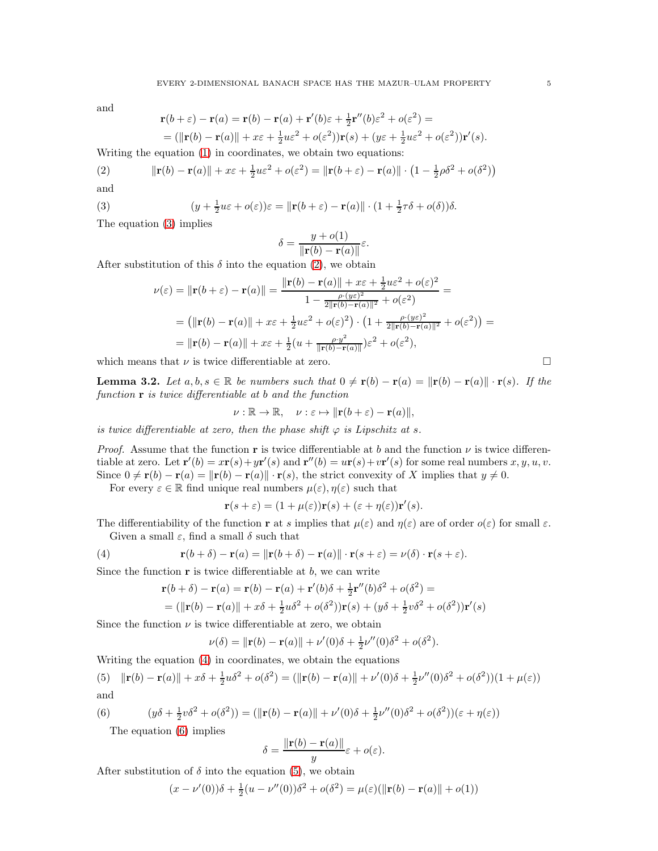and

<span id="page-4-1"></span>
$$
\mathbf{r}(b+\varepsilon) - \mathbf{r}(a) = \mathbf{r}(b) - \mathbf{r}(a) + \mathbf{r}'(b)\varepsilon + \frac{1}{2}\mathbf{r}''(b)\varepsilon^2 + o(\varepsilon^2) =
$$
  
= (||**r**(b) – **r**(a)|| +  $x\varepsilon$  +  $\frac{1}{2}u\varepsilon^2$  +  $o(\varepsilon^2)$ )**r**(s) + ( $y\varepsilon$  +  $\frac{1}{2}u\varepsilon^2$  +  $o(\varepsilon^2)$ )**r**'(s).

Writing the equation [\(1\)](#page-3-1) in coordinates, we obtain two equations:

(2) 
$$
\|\mathbf{r}(b) - \mathbf{r}(a)\| + x\varepsilon + \frac{1}{2}u\varepsilon^2 + o(\varepsilon^2) = \|\mathbf{r}(b + \varepsilon) - \mathbf{r}(a)\| \cdot \left(1 - \frac{1}{2}\rho\delta^2 + o(\delta^2)\right)
$$

and

(3) 
$$
(y + \frac{1}{2}u\varepsilon + o(\varepsilon))\varepsilon = ||\mathbf{r}(b + \varepsilon) - \mathbf{r}(a)|| \cdot (1 + \frac{1}{2}\tau\delta + o(\delta))\delta.
$$

The equation [\(3\)](#page-4-0) implies

$$
\delta = \frac{y + o(1)}{\|\mathbf{r}(b) - \mathbf{r}(a)\|} \varepsilon.
$$

After substitution of this  $\delta$  into the equation [\(2\)](#page-4-1), we obtain

<span id="page-4-0"></span>
$$
\nu(\varepsilon) = ||\mathbf{r}(b + \varepsilon) - \mathbf{r}(a)|| = \frac{||\mathbf{r}(b) - \mathbf{r}(a)|| + x\varepsilon + \frac{1}{2}u\varepsilon^2 + o(\varepsilon)^2}{1 - \frac{\rho \cdot (y\varepsilon)^2}{2||\mathbf{r}(b) - \mathbf{r}(a)||^2} + o(\varepsilon^2)} =
$$
  
=  $(||\mathbf{r}(b) - \mathbf{r}(a)|| + x\varepsilon + \frac{1}{2}u\varepsilon^2 + o(\varepsilon)^2) \cdot (1 + \frac{\rho \cdot (y\varepsilon)^2}{2||\mathbf{r}(b) - \mathbf{r}(a)||^2} + o(\varepsilon^2)) =$   
=  $||\mathbf{r}(b) - \mathbf{r}(a)|| + x\varepsilon + \frac{1}{2}(u + \frac{\rho \cdot y^2}{||\mathbf{r}(b) - \mathbf{r}(a)||})\varepsilon^2 + o(\varepsilon^2),$ 

which means that  $\nu$  is twice differentiable at zero.

<span id="page-4-5"></span>**Lemma 3.2.** Let  $a, b, s \in \mathbb{R}$  be numbers such that  $0 \neq r(b) - r(a) = ||r(b) - r(a)|| \cdot r(s)$ . If the function  $\bf{r}$  is twice differentiable at b and the function

$$
\nu : \mathbb{R} \to \mathbb{R}, \quad \nu : \varepsilon \mapsto \|\mathbf{r}(b+\varepsilon) - \mathbf{r}(a)\|,
$$

is twice differentiable at zero, then the phase shift  $\varphi$  is Lipschitz at s.

*Proof.* Assume that the function r is twice differentiable at b and the function  $\nu$  is twice differentiable at zero. Let  $\mathbf{r}'(b) = x\mathbf{r}(s) + y\mathbf{r}'(s)$  and  $\mathbf{r}''(b) = u\mathbf{r}(s) + v\mathbf{r}'(s)$  for some real numbers  $x, y, u, v$ . Since  $0 \neq \mathbf{r}(b) - \mathbf{r}(a) = ||\mathbf{r}(b) - \mathbf{r}(a)|| \cdot \mathbf{r}(s)$ , the strict convexity of X implies that  $y \neq 0$ .

For every  $\varepsilon \in \mathbb{R}$  find unique real numbers  $\mu(\varepsilon), \eta(\varepsilon)$  such that

$$
\mathbf{r}(s+\varepsilon) = (1+\mu(\varepsilon))\mathbf{r}(s) + (\varepsilon + \eta(\varepsilon))\mathbf{r}'(s).
$$

The differentiability of the function **r** at s implies that  $\mu(\varepsilon)$  and  $\eta(\varepsilon)$  are of order  $o(\varepsilon)$  for small  $\varepsilon$ . Given a small  $\varepsilon$ , find a small  $\delta$  such that

(4) 
$$
\mathbf{r}(b+\delta)-\mathbf{r}(a)=\|\mathbf{r}(b+\delta)-\mathbf{r}(a)\|\cdot\mathbf{r}(s+\varepsilon)=\nu(\delta)\cdot\mathbf{r}(s+\varepsilon).
$$

Since the function  $\mathbf r$  is twice differentiable at  $b$ , we can write

<span id="page-4-2"></span>
$$
\mathbf{r}(b+\delta) - \mathbf{r}(a) = \mathbf{r}(b) - \mathbf{r}(a) + \mathbf{r}'(b)\delta + \frac{1}{2}\mathbf{r}''(b)\delta^2 + o(\delta^2) =
$$
  
= (||**r**(b) – **r**(a)|| +  $x\delta + \frac{1}{2}u\delta^2 + o(\delta^2)\mathbf{r}(s) + (y\delta + \frac{1}{2}v\delta^2 + o(\delta^2)\mathbf{r}'(s)$ 

Since the function  $\nu$  is twice differentiable at zero, we obtain

$$
\nu(\delta) = ||\mathbf{r}(b) - \mathbf{r}(a)|| + \nu'(0)\delta + \frac{1}{2}\nu''(0)\delta^2 + o(\delta^2).
$$

Writing the equation [\(4\)](#page-4-2) in coordinates, we obtain the equations

<span id="page-4-4"></span>(5) 
$$
\|\mathbf{r}(b) - \mathbf{r}(a)\| + x\delta + \frac{1}{2}u\delta^2 + o(\delta^2) = (\|\mathbf{r}(b) - \mathbf{r}(a)\| + \nu'(0)\delta + \frac{1}{2}\nu''(0)\delta^2 + o(\delta^2))(1 + \mu(\varepsilon))
$$
  
and

(6) 
$$
(y\delta + \frac{1}{2}v\delta^2 + o(\delta^2)) = (\|\mathbf{r}(b) - \mathbf{r}(a)\| + \nu'(0)\delta + \frac{1}{2}\nu''(0)\delta^2 + o(\delta^2))(\varepsilon + \eta(\varepsilon))
$$

<span id="page-4-3"></span>The equation [\(6\)](#page-4-3) implies

$$
\delta = \frac{\|\mathbf{r}(b) - \mathbf{r}(a)\|}{y} \varepsilon + o(\varepsilon).
$$

After substitution of  $\delta$  into the equation [\(5\)](#page-4-4), we obtain

$$
(x - \nu'(0))\delta + \frac{1}{2}(u - \nu''(0))\delta^2 + o(\delta^2) = \mu(\varepsilon)(\|\mathbf{r}(b) - \mathbf{r}(a)\| + o(1))
$$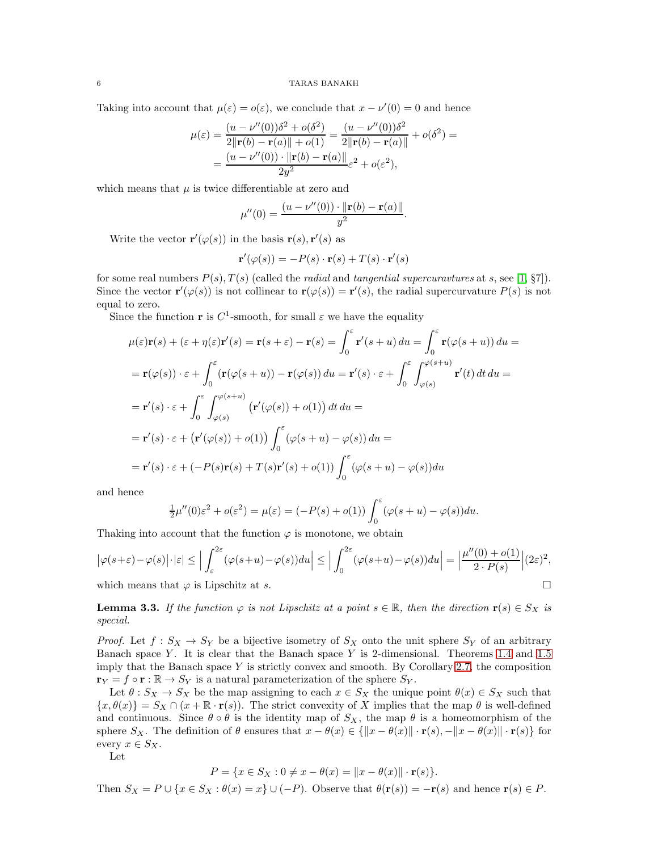Taking into account that  $\mu(\varepsilon) = o(\varepsilon)$ , we conclude that  $x - \nu'(0) = 0$  and hence

$$
\mu(\varepsilon) = \frac{(u - \nu''(0))\delta^2 + o(\delta^2)}{2\|\mathbf{r}(b) - \mathbf{r}(a)\| + o(1)} = \frac{(u - \nu''(0))\delta^2}{2\|\mathbf{r}(b) - \mathbf{r}(a)\|} + o(\delta^2) =
$$
  
= 
$$
\frac{(u - \nu''(0)) \cdot \|\mathbf{r}(b) - \mathbf{r}(a)\|}{2y^2} \varepsilon^2 + o(\varepsilon^2),
$$

which means that  $\mu$  is twice differentiable at zero and

$$
\mu''(0) = \frac{(u - \nu''(0)) \cdot ||\mathbf{r}(b) - \mathbf{r}(a)||}{y^2}.
$$

Write the vector  $\mathbf{r}'(\varphi(s))$  in the basis  $\mathbf{r}(s), \mathbf{r}'(s)$  as

$$
\mathbf{r}'(\varphi(s)) = -P(s) \cdot \mathbf{r}(s) + T(s) \cdot \mathbf{r}'(s)
$$

for some real numbers  $P(s)$ ,  $T(s)$  (called the *radial* and *tangential supercuravtures* at s, see [\[1,](#page-7-16) §7]). Since the vector  $\mathbf{r}'(\varphi(s))$  is not collinear to  $\mathbf{r}(\varphi(s)) = \mathbf{r}'(s)$ , the radial supercurvature  $P(s)$  is not equal to zero.

Since the function **r** is  $C^1$ -smooth, for small  $\varepsilon$  we have the equality

$$
\mu(\varepsilon)\mathbf{r}(s) + (\varepsilon + \eta(\varepsilon)\mathbf{r}'(s) = \mathbf{r}(s + \varepsilon) - \mathbf{r}(s) = \int_0^{\varepsilon} \mathbf{r}'(s + u) du = \int_0^{\varepsilon} \mathbf{r}(\varphi(s + u)) du =
$$
  
\n
$$
= \mathbf{r}(\varphi(s)) \cdot \varepsilon + \int_0^{\varepsilon} (\mathbf{r}(\varphi(s + u)) - \mathbf{r}(\varphi(s)) du = \mathbf{r}'(s) \cdot \varepsilon + \int_0^{\varepsilon} \int_{\varphi(s)}^{\varphi(s + u)} \mathbf{r}'(t) dt du =
$$
  
\n
$$
= \mathbf{r}'(s) \cdot \varepsilon + \int_0^{\varepsilon} \int_{\varphi(s)}^{\varphi(s + u)} (\mathbf{r}'(\varphi(s)) + o(1)) dt du =
$$
  
\n
$$
= \mathbf{r}'(s) \cdot \varepsilon + (\mathbf{r}'(\varphi(s)) + o(1)) \int_0^{\varepsilon} (\varphi(s + u) - \varphi(s)) du =
$$
  
\n
$$
= \mathbf{r}'(s) \cdot \varepsilon + (-P(s)\mathbf{r}(s) + T(s)\mathbf{r}'(s) + o(1)) \int_0^{\varepsilon} (\varphi(s + u) - \varphi(s)) du
$$

and hence

$$
\frac{1}{2}\mu''(0)\varepsilon^2 + o(\varepsilon^2) = \mu(\varepsilon) = (-P(s) + o(1))\int_0^\varepsilon (\varphi(s+u) - \varphi(s))du.
$$

Thaking into account that the function  $\varphi$  is monotone, we obtain

$$
\left|\varphi(s+\varepsilon)-\varphi(s)\right|\cdot|\varepsilon| \le \left|\int_{\varepsilon}^{2\varepsilon} (\varphi(s+u)-\varphi(s))du\right| \le \left|\int_{0}^{2\varepsilon} (\varphi(s+u)-\varphi(s))du\right| = \left|\frac{\mu''(0)+o(1)}{2\cdot P(s)}\right|(2\varepsilon)^2,
$$
\nwhich means that  $\varphi$  is Linschitz at s.

which means that  $\varphi$  is Lipschitz at s.

<span id="page-5-0"></span>**Lemma 3.3.** If the function  $\varphi$  is not Lipschitz at a point  $s \in \mathbb{R}$ , then the direction  $\mathbf{r}(s) \in S_X$  is special.

*Proof.* Let  $f : S_X \to S_Y$  be a bijective isometry of  $S_X$  onto the unit sphere  $S_Y$  of an arbitrary Banach space Y. It is clear that the Banach space Y is 2-dimensional. Theorems [1.4](#page-0-2) and [1.5](#page-1-2) imply that the Banach space Y is strictly convex and smooth. By Corollary [2.7,](#page-2-5) the composition  $\mathbf{r}_Y = f \circ \mathbf{r} : \mathbb{R} \to S_Y$  is a natural parameterization of the sphere  $S_Y$ .

Let  $\theta : S_X \to S_X$  be the map assigning to each  $x \in S_X$  the unique point  $\theta(x) \in S_X$  such that  $\{x,\theta(x)\}=S_X\cap(x+\mathbb{R}\cdot\mathbf{r}(s)).$  The strict convexity of X implies that the map  $\theta$  is well-defined and continuous. Since  $\theta \circ \theta$  is the identity map of  $S_X$ , the map  $\theta$  is a homeomorphism of the sphere  $S_X$ . The definition of  $\theta$  ensures that  $x - \theta(x) \in {\|x - \theta(x)\| \cdot \mathbf{r}(s), -\|x - \theta(x)\| \cdot \mathbf{r}(s)}$  for every  $x \in S_X$ .

Let

$$
P = \{ x \in S_X : 0 \neq x - \theta(x) = ||x - \theta(x)|| \cdot \mathbf{r}(s) \}.
$$

Then  $S_X = P \cup \{x \in S_X : \theta(x) = x\} \cup (-P)$ . Observe that  $\theta(\mathbf{r}(s)) = -\mathbf{r}(s)$  and hence  $\mathbf{r}(s) \in P$ .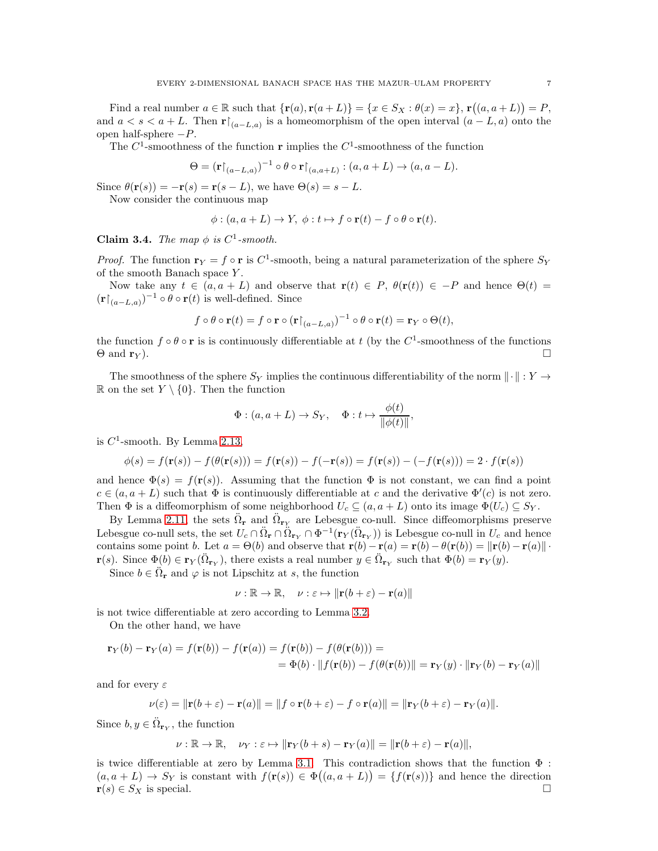Find a real number  $a \in \mathbb{R}$  such that  $\{r(a), r(a+L)\} = \{x \in S_X : \theta(x) = x\}, r((a, a+L)) = P$ , and  $a < s < a + L$ . Then  $\mathbf{r} \upharpoonright_{(a-L,a)}$  is a homeomorphism of the open interval  $(a-L, a)$  onto the open half-sphere  $-P$ .

The  $C^1$ -smoothness of the function **r** implies the  $C^1$ -smoothness of the function

$$
\Theta = (\mathbf{r}|_{(a-L,a)})^{-1} \circ \theta \circ \mathbf{r}|_{(a,a+L)} : (a,a+L) \to (a,a-L).
$$

Since  $\theta(\mathbf{r}(s)) = -\mathbf{r}(s) = \mathbf{r}(s - L)$ , we have  $\Theta(s) = s - L$ .

Now consider the continuous map

$$
\phi: (a, a+L) \to Y, \ \phi: t \mapsto f \circ \mathbf{r}(t) - f \circ \theta \circ \mathbf{r}(t).
$$

Claim 3.4. The map  $\phi$  is  $C^1$ -smooth.

*Proof.* The function  $\mathbf{r}_Y = f \circ \mathbf{r}$  is  $C^1$ -smooth, being a natural parameterization of the sphere  $S_Y$ of the smooth Banach space Y .

Now take any  $t \in (a, a + L)$  and observe that  $\mathbf{r}(t) \in P$ ,  $\theta(\mathbf{r}(t)) \in -P$  and hence  $\Theta(t)$  $(\mathbf{r}\vert_{(a-L,a)})^{-1} \circ \theta \circ \mathbf{r}(t)$  is well-defined. Since

$$
f \circ \theta \circ \mathbf{r}(t) = f \circ \mathbf{r} \circ (\mathbf{r}\upharpoonright_{(a-L,a)})^{-1} \circ \theta \circ \mathbf{r}(t) = \mathbf{r}_Y \circ \Theta(t),
$$

the function  $f \circ \theta \circ \mathbf{r}$  is is continuously differentiable at t (by the  $C^1$ -smoothness of the functions  $\Theta$  and  $\mathbf{r}_Y$ ).

The smoothness of the sphere  $S_Y$  implies the continuous differentiability of the norm  $\|\cdot\| : Y \to$ R on the set  $Y \setminus \{0\}$ . Then the function

$$
\Phi: (a, a+L) \to S_Y, \quad \Phi: t \mapsto \frac{\phi(t)}{\|\phi(t)\|},
$$

is  $C^1$ -smooth. By Lemma [2.13,](#page-3-2)

$$
\phi(s) = f(\mathbf{r}(s)) - f(\theta(\mathbf{r}(s))) = f(\mathbf{r}(s)) - f(-\mathbf{r}(s)) = f(\mathbf{r}(s)) - (-f(\mathbf{r}(s))) = 2 \cdot f(\mathbf{r}(s))
$$

and hence  $\Phi(s) = f(\mathbf{r}(s))$ . Assuming that the function  $\Phi$  is not constant, we can find a point  $c \in (a, a + L)$  such that  $\Phi$  is continuously differentiable at c and the derivative  $\Phi'(c)$  is not zero. Then  $\Phi$  is a diffeomorphism of some neighborhood  $U_c \subseteq (a, a + L)$  onto its image  $\Phi(U_c) \subseteq S_Y$ .

By Lemma [2.11,](#page-3-3) the sets  $\ddot{\Omega}_r$  and  $\ddot{\Omega}_{rY}$  are Lebesgue co-null. Since diffeomorphisms preserve Lebesgue co-null sets, the set  $U_c \cap \ddot{\Omega}_r \cap \ddot{\Omega}_{r_Y} \cap \Phi^{-1}(r_Y(\ddot{\Omega}_{r_Y}))$  is Lebesgue co-null in  $U_c$  and hence contains some point b. Let  $a = \Theta(b)$  and observe that  $\mathbf{r}(b) - \mathbf{r}(a) = \mathbf{r}(b) - \theta(\mathbf{r}(b)) = ||\mathbf{r}(b) - \mathbf{r}(a)||$  $\mathbf{r}(s)$ . Since  $\Phi(b) \in \mathbf{r}_Y(\ddot{\Omega}_{\mathbf{r}_Y})$ , there exists a real number  $y \in \ddot{\Omega}_{\mathbf{r}_Y}$  such that  $\Phi(b) = \mathbf{r}_Y(y)$ .

Since  $b \in \ddot{\Omega}_r$  and  $\varphi$  is not Lipschitz at s, the function

$$
\nu : \mathbb{R} \to \mathbb{R}, \quad \nu : \varepsilon \mapsto \|\mathbf{r}(b+\varepsilon) - \mathbf{r}(a)\|
$$

is not twice differentiable at zero according to Lemma [3.2.](#page-4-5)

On the other hand, we have

$$
\mathbf{r}_Y(b) - \mathbf{r}_Y(a) = f(\mathbf{r}(b)) - f(\mathbf{r}(a)) = f(\mathbf{r}(b)) - f(\theta(\mathbf{r}(b))) =
$$
  
=  $\Phi(b) \cdot ||f(\mathbf{r}(b)) - f(\theta(\mathbf{r}(b))|| = \mathbf{r}_Y(y) \cdot ||\mathbf{r}_Y(b) - \mathbf{r}_Y(a)||$ 

and for every  $\varepsilon$ 

$$
\nu(\varepsilon) = \|\mathbf{r}(b+\varepsilon) - \mathbf{r}(a)\| = \|f \circ \mathbf{r}(b+\varepsilon) - f \circ \mathbf{r}(a)\| = \|\mathbf{r}_Y(b+\varepsilon) - \mathbf{r}_Y(a)\|.
$$

Since  $b, y \in \ddot{\Omega}_{\mathbf{r}_Y}$ , the function

$$
\nu : \mathbb{R} \to \mathbb{R}, \quad \nu_Y : \varepsilon \mapsto \|\mathbf{r}_Y(b+s) - \mathbf{r}_Y(a)\| = \|\mathbf{r}(b+\varepsilon) - \mathbf{r}(a)\|,
$$

is twice differentiable at zero by Lemma [3.1.](#page-3-4) This contradiction shows that the function  $\Phi$ :  $(a, a + L) \to S_Y$  is constant with  $f(\mathbf{r}(s)) \in \Phi((a, a + L)) = \{f(\mathbf{r}(s))\}$  and hence the direction  $\mathbf{r}(s) \in S_X$  is special.